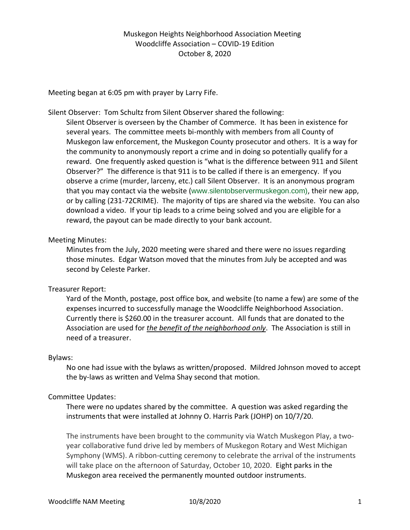Meeting began at 6:05 pm with prayer by Larry Fife.

Silent Observer: Tom Schultz from Silent Observer shared the following:

Silent Observer is overseen by the Chamber of Commerce. It has been in existence for several years. The committee meets bi-monthly with members from all County of Muskegon law enforcement, the Muskegon County prosecutor and others. It is a way for the community to anonymously report a crime and in doing so potentially qualify for a reward. One frequently asked question is "what is the difference between 911 and Silent Observer?" The difference is that 911 is to be called if there is an emergency. If you observe a crime (murder, larceny, etc.) call Silent Observer. It is an anonymous program that you may contact via the website (www.silentobservermuskegon.com), their new app, or by calling (231-72CRIME). The majority of tips are shared via the website. You can also download a video. If your tip leads to a crime being solved and you are eligible for a reward, the payout can be made directly to your bank account.

## Meeting Minutes:

Minutes from the July, 2020 meeting were shared and there were no issues regarding those minutes. Edgar Watson moved that the minutes from July be accepted and was second by Celeste Parker.

# Treasurer Report:

Yard of the Month, postage, post office box, and website (to name a few) are some of the expenses incurred to successfully manage the Woodcliffe Neighborhood Association. Currently there is \$260.00 in the treasurer account. All funds that are donated to the Association are used for *the benefit of the neighborhood only*. The Association is still in need of a treasurer.

#### Bylaws:

No one had issue with the bylaws as written/proposed. Mildred Johnson moved to accept the by-laws as written and Velma Shay second that motion.

# Committee Updates:

There were no updates shared by the committee. A question was asked regarding the instruments that were installed at Johnny O. Harris Park (JOHP) on 10/7/20.

The instruments have been brought to the community via Watch Muskegon Play, a twoyear collaborative fund drive led by members of Muskegon Rotary and West Michigan Symphony (WMS). A ribbon-cutting ceremony to celebrate the arrival of the instruments will take place on the afternoon of Saturday, October 10, 2020. Eight parks in the Muskegon area received the permanently mounted outdoor instruments.